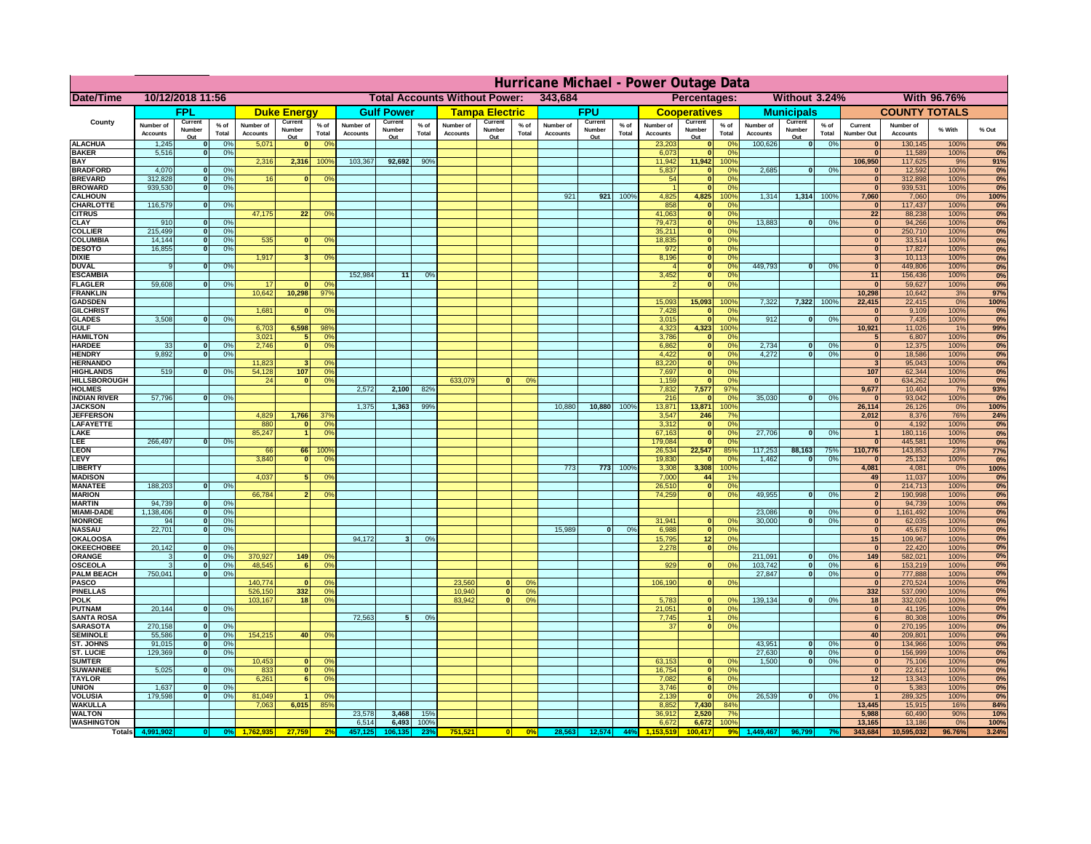|                                      | Hurricane Michael - Power Outage Data |                          |                    |                              |                          |                                  |                                                 |                          |                 |                              |                          |                               |                              |                          |                 |                              |                                  |                               |                              |                          |                 |                              |                              |              |                    |
|--------------------------------------|---------------------------------------|--------------------------|--------------------|------------------------------|--------------------------|----------------------------------|-------------------------------------------------|--------------------------|-----------------|------------------------------|--------------------------|-------------------------------|------------------------------|--------------------------|-----------------|------------------------------|----------------------------------|-------------------------------|------------------------------|--------------------------|-----------------|------------------------------|------------------------------|--------------|--------------------|
| Date/Time                            | 10/12/2018 11:56                      |                          |                    |                              |                          |                                  | <b>Total Accounts Without Power:</b><br>343,684 |                          |                 |                              |                          | Without 3.24%<br>Percentages: |                              |                          |                 |                              |                                  | With 96.76%                   |                              |                          |                 |                              |                              |              |                    |
|                                      | <b>FPL</b>                            |                          | <b>Duke Energy</b> |                              | <b>Gulf Power</b>        |                                  | <b>Tampa Electric</b>                           |                          | <b>FPU</b>      |                              |                          | <b>Cooperatives</b>           |                              | <b>Municipals</b>        |                 |                              | <b>COUNTY TOTALS</b>             |                               |                              |                          |                 |                              |                              |              |                    |
| County                               | Number of<br><b>Accounts</b>          | Current<br>Number<br>Out | $%$ of<br>Total    | Number of<br><b>Accounts</b> | Current<br>Number<br>Out | $%$ of<br>Total                  | Number of<br><b>Accounts</b>                    | Current<br>Number<br>Out | $%$ of<br>Total | Number of<br><b>Accounts</b> | Current<br>Number<br>Out | % of<br>Total                 | Number of<br><b>Accounts</b> | Current<br>Number<br>Out | $%$ of<br>Total | Number of<br><b>Accounts</b> | Current<br>Number<br>Out         | $%$ of<br>Total               | Number of<br><b>Accounts</b> | Current<br>Number<br>Out | $%$ of<br>Total | Current<br><b>Number Out</b> | Number of<br><b>Accounts</b> | % With       | % Out              |
| <b>ALACHUA</b>                       | 1,245                                 | $\bf{0}$                 | 0%                 | 5,071                        |                          | 0 <sup>o</sup>                   |                                                 |                          |                 |                              |                          |                               |                              |                          |                 | 23,203                       |                                  | 0%                            | 100,626                      | 0                        | 0%              |                              | 130,145                      | 100%         | 0%                 |
| <b>BAKER</b><br><b>BAY</b>           | 5,516                                 | $\mathbf 0$              | 0%                 | 2,316                        | 2,316                    | 100%                             | 103,367                                         | 92,692                   | 90 <sup>o</sup> |                              |                          |                               |                              |                          |                 | 6,073<br>11,942              | 11,942                           | 0%<br>100°                    |                              |                          |                 | $\bf{0}$<br>106,950          | 11,589<br>117,625            | 100%<br>9%   | 0%<br>91%          |
| <b>BRADFORD</b>                      | 4,070                                 | $\mathbf{0}$             | 0%                 |                              |                          |                                  |                                                 |                          |                 |                              |                          |                               |                              |                          |                 | 5,837                        |                                  | $\Omega$ <sup>c</sup>         | 2,685                        | 0                        | 0%              |                              | 12,592                       | 100%         | 0%                 |
| <b>BREVARD</b>                       | 312,828                               | $\mathbf{0}$             | 0%                 | 16                           |                          | 0 <sup>9</sup>                   |                                                 |                          |                 |                              |                          |                               |                              |                          |                 | 54                           | $\mathbf{0}$                     | 0 <sup>9</sup>                |                              |                          |                 | $\mathbf{0}$                 | 312,898                      | 100%         | 0%                 |
| <b>BROWARD</b>                       | 939,530                               | $\mathbf{0}$             | 0%                 |                              |                          |                                  |                                                 |                          |                 |                              |                          |                               |                              |                          |                 |                              | $\mathbf{r}$                     | 0 <sup>9</sup>                |                              |                          |                 | $\Omega$                     | 939,531                      | 100%         | 0%                 |
| <b>CALHOUN</b><br>CHARLOTTE          | 116,579                               | $\Omega$                 | 0%                 |                              |                          |                                  |                                                 |                          |                 |                              |                          |                               | 921                          | 921                      | 100%            | 4,825<br>858                 | 4,825<br>$\Omega$                | 100%<br>$\Omega$ <sup>o</sup> | 1,314                        | 1,314                    | 100%            | 7,060<br>$\Omega$            | 7,060<br>117,437             | 0%<br>100%   | 100%<br>0%         |
| <b>CITRUS</b>                        |                                       |                          |                    | 47,175                       | 22                       | 0 <sup>9</sup>                   |                                                 |                          |                 |                              |                          |                               |                              |                          |                 | 41,063                       | $\mathbf{0}$                     | 0 <sup>9</sup>                |                              |                          |                 | 22                           | 88,238                       | 100%         | 0%                 |
| <b>CLAY</b>                          | 910                                   | $\mathbf{o}$             | 0%                 |                              |                          |                                  |                                                 |                          |                 |                              |                          |                               |                              |                          |                 | 79,473                       | $\mathbf{0}$                     | 0%                            | 13,883                       | 0                        | 0%              | $\bullet$                    | 94,266                       | 100%         | 0%                 |
| <b>COLLIER</b>                       | 215,499<br>14,144                     | 0                        | 0%                 | 535                          |                          |                                  |                                                 |                          |                 |                              |                          |                               |                              |                          |                 | 35,211<br>18,835             | $\mathbf{0}$<br>$\mathbf{0}$     | 0%<br>0%                      |                              |                          |                 | $\mathbf{0}$<br>$\mathbf{0}$ | 250,710<br>33,514            | 100%<br>100% | 0%<br>0%           |
| <b>COLUMBIA</b><br><b>DESOTO</b>     | 16,855                                | 0 <br>$\Omega$           | 0%<br>0%           |                              |                          | 0 <sup>9</sup>                   |                                                 |                          |                 |                              |                          |                               |                              |                          |                 | 972                          | $\mathbf{0}$                     | 0%                            |                              |                          |                 | $\overline{0}$               | 17,827                       | 100%         | 0%                 |
| <b>DIXIE</b>                         |                                       |                          |                    | 1.917                        | $\overline{\mathbf{3}}$  | 0%                               |                                                 |                          |                 |                              |                          |                               |                              |                          |                 | 8,196                        | $\overline{\mathbf{0}}$          | 0%                            |                              |                          |                 | $\overline{\mathbf{3}}$      | 10,113                       | 100%         | 0%                 |
| <b>DUVAL</b>                         | 9                                     | $\Omega$                 | 0%                 |                              |                          |                                  |                                                 |                          |                 |                              |                          |                               |                              |                          |                 |                              | $\overline{\mathbf{0}}$          | 0%                            | 449.793                      | $\overline{0}$           | 0%              | $\overline{0}$               | 449,806                      | 100%         | 0%                 |
| <b>ESCAMBIA</b><br><b>FLAGLER</b>    | 59.608                                | $\Omega$                 |                    | 17                           | $\Omega$                 | nº                               | 152.984                                         | 11                       | O <sup>o</sup>  |                              |                          |                               |                              |                          |                 | 3,452                        | ō<br>$\overline{\mathbf{0}}$     | 0%<br>0%                      |                              |                          |                 | 11<br>$\Omega$               | 156,436<br>59,627            | 100%<br>100% | 0%<br>0%           |
| <b>FRANKLIN</b>                      |                                       |                          | 0%                 | 10.642                       | 10.298                   | 97%                              |                                                 |                          |                 |                              |                          |                               |                              |                          |                 |                              |                                  |                               |                              |                          |                 | 10,298                       | 10,642                       | 3%           | 97%                |
| <b>GADSDEN</b>                       |                                       |                          |                    |                              |                          |                                  |                                                 |                          |                 |                              |                          |                               |                              |                          |                 | 15.093                       | 15,093                           | 100%                          | 7.322                        | 7,322 100%               |                 | 22,415                       | 22,415                       | 0%           | 100%               |
| <b>GILCHRIST</b>                     |                                       |                          |                    | 1,681                        |                          | 0 <sup>9</sup>                   |                                                 |                          |                 |                              |                          |                               |                              |                          |                 | 7,428                        |                                  | 0 <sup>9</sup>                |                              |                          |                 | $\mathbf{0}$                 | 9,109                        | 100%         | 0%                 |
| <b>GLADES</b><br><b>GULF</b>         | 3,508                                 | $\mathbf{0}$             | 0%                 | 6,703                        | 6,598                    | 98%                              |                                                 |                          |                 |                              |                          |                               |                              |                          |                 | 3,015<br>4,323               | $\sqrt{ }$<br>4,323              | 0 <sup>9</sup><br>100%        | 912                          | $\bf{0}$                 | 0%              | $\mathbf{0}$<br>10,921       | 7,435                        | 100%<br>1%   | 0%<br>99%          |
| <b>HAMILTON</b>                      |                                       |                          |                    | 3,021                        | 5 <sup>1</sup>           | 0 <sup>9</sup>                   |                                                 |                          |                 |                              |                          |                               |                              |                          |                 | 3,786                        | $\mathbf{0}$                     | 0%                            |                              |                          |                 | 5                            | 11,026<br>6,807              | 100%         | 0%                 |
| <b>HARDEE</b>                        | 33                                    | $\bf{0}$                 | 0%                 | 2,746                        | $\overline{0}$           | 0 <sup>9</sup>                   |                                                 |                          |                 |                              |                          |                               |                              |                          |                 | 6,862                        | $\mathbf{0}$                     | 0 <sup>9</sup>                | 2,734                        | $\mathbf{0}$             | 0%              | $\overline{0}$               | 12,375                       | 100%         | 0%                 |
| <b>HENDRY</b>                        | 9.892                                 | 0                        | 0%                 |                              |                          |                                  |                                                 |                          |                 |                              |                          |                               |                              |                          |                 | 4,422                        | $\overline{\phantom{a}}$         | 0%                            | 4.272                        | $\overline{0}$           | 0%              | 0                            | 18,586                       | 100%         | 0%                 |
| <b>HERNANDO</b><br><b>HIGHLANDS</b>  | 519                                   | $\Omega$                 | 0%                 | 11,823<br>54,128             | 107                      | $^{\circ}$<br>0%                 |                                                 |                          |                 |                              |                          |                               |                              |                          |                 | 83,220<br>7,697              | $\overline{0}$<br>$\overline{0}$ | 0%<br>0%                      |                              |                          |                 | ιJ<br>107                    | 95,043<br>62,344             | 100%<br>100% | 0%<br>0%           |
| <b>HILLSBOROUGH</b>                  |                                       |                          |                    | 24                           | $\Omega$                 | 0%                               |                                                 |                          |                 | 633,079                      | nl                       | 0 <sup>o</sup>                |                              |                          |                 | 1,159                        | $\mathbf{0}$                     | 0%                            |                              |                          |                 | $\mathbf{0}$                 | 634,262                      | 100%         | 0%                 |
| <b>HOLMES</b>                        |                                       |                          |                    |                              |                          |                                  | 2,572                                           | 2,100                    | 82%             |                              |                          |                               |                              |                          |                 | 7,832                        | 7,577                            | 97%                           |                              |                          |                 | 9,677                        | 10,404                       | 7%           | 93%                |
| <b>INDIAN RIVER</b>                  | 57,796                                | $\Omega$                 | 0%                 |                              |                          |                                  |                                                 |                          |                 |                              |                          |                               |                              |                          |                 | 216                          |                                  | 0%                            | 35,030                       | $\Omega$                 | 0%              | $\bf{0}$                     | 93,042                       | 100%         | 0%                 |
| <b>JACKSON</b><br><b>JEFFERSON</b>   |                                       |                          |                    | 4,829                        | 1,766                    | 379                              | 1,375                                           | 1,363                    | 99%             |                              |                          |                               | 10,880                       | 10,880                   | 100%            | 13,871<br>3,547              | 13,871<br>246                    | 100%<br>7 <sup>o</sup>        |                              |                          |                 | 26,114<br>2,012              | 26,126<br>8,376              | 0%<br>76%    | 100%<br><b>24%</b> |
| LAFAYETTE                            |                                       |                          |                    | 880                          | $\mathbf{0}$             | 0 <sup>o</sup>                   |                                                 |                          |                 |                              |                          |                               |                              |                          |                 | 3,312                        |                                  | 0 <sup>9</sup>                |                              |                          |                 | $\mathbf{0}$                 | 4,192                        | 100%         | 0%                 |
| LAKE                                 |                                       |                          |                    | 85,247                       |                          | 0 <sup>9</sup>                   |                                                 |                          |                 |                              |                          |                               |                              |                          |                 | 67,163                       | $\mathbf{0}$                     | 0 <sup>9</sup>                | 27,706                       | $\Omega$                 | 0%              | $\mathbf{1}$                 | 180,116                      | 100%         | 0%                 |
| <b>LEE</b>                           | 266,497                               | $\Omega$                 | 0%                 |                              |                          |                                  |                                                 |                          |                 |                              |                          |                               |                              |                          |                 | 179,084                      | $\Omega$                         | 0 <sup>9</sup>                |                              |                          |                 | $\mathbf{0}$                 | 445,581                      | 100%         | 0%                 |
| <b>LEON</b><br><b>LEVY</b>           |                                       |                          |                    | 66<br>3,840                  | $\mathbf{0}$             | 66 1009<br>0 <sup>o</sup>        |                                                 |                          |                 |                              |                          |                               |                              |                          |                 | 26,534<br>19,830             | 22,547<br>- 0                    | 85%<br>no                     | 117,253<br>1,462             | 88,163<br>$\Omega$       | 75%<br>0%       | 110,776<br>$\mathbf{0}$      | 143,853<br>25,132            | 23%<br>100%  | <b>77%</b><br>0%   |
| <b>LIBERTY</b>                       |                                       |                          |                    |                              |                          |                                  |                                                 |                          |                 |                              |                          |                               | 773                          | 773                      | 100%            | 3,308                        | 3,308                            | 100%                          |                              |                          |                 | 4,081                        | 4,081                        | 0%           | 100%               |
| <b>MADISON</b>                       |                                       |                          |                    | 4,037                        |                          | 0 <sup>9</sup>                   |                                                 |                          |                 |                              |                          |                               |                              |                          |                 | 7,000                        | 44                               | 1 <sub>9</sub>                |                              |                          |                 | 49                           | 11,037                       | 100%         | 0%                 |
| <b>MANATEE</b>                       | 188,203                               | $\Omega$                 | 0%                 |                              |                          |                                  |                                                 |                          |                 |                              |                          |                               |                              |                          |                 | 26,510                       | $\mathbf{0}$                     | 0%                            |                              |                          |                 | 0                            | 214,713                      | 100%         | 0%                 |
| <b>MARION</b><br><b>MARTIN</b>       | 94,739                                | $\overline{0}$           | 0%                 | 66,784                       |                          | 0 <sup>9</sup>                   |                                                 |                          |                 |                              |                          |                               |                              |                          |                 | 74,259                       | 0                                | 0%                            | 49,955                       | 0                        | 0%              | $\overline{2}$<br> 0         | 190,998<br>94,739            | 100%<br>100% | 0%<br>0%           |
| <b>MIAMI-DADE</b>                    | 1,138,406                             | 0                        | 0%                 |                              |                          |                                  |                                                 |                          |                 |                              |                          |                               |                              |                          |                 |                              |                                  |                               | 23,086                       | 0                        | 0%              | 0                            | 1,161,492                    | 100%         | 0%                 |
| <b>MONROE</b>                        | 94                                    | 0                        | 0%                 |                              |                          |                                  |                                                 |                          |                 |                              |                          |                               |                              |                          |                 | 31,941                       | $\mathbf{0}$                     | nº                            | 30,000                       | $\overline{0}$           | 0%              | 0                            | 62,035                       | 100%         | 0%                 |
| <b>NASSAU</b>                        | 22,701                                | 0                        | 0%                 |                              |                          |                                  |                                                 |                          |                 |                              |                          |                               | 15,989                       | 0                        | 0%              | 6,988                        | $\mathbf{0}$                     | 0%                            |                              |                          |                 | $\mathbf{0}$                 | 45,678                       | 100%         | 0%                 |
| <b>OKALOOSA</b><br><b>OKEECHOBEE</b> | 20,142                                | $\Omega$                 | 0%                 |                              |                          |                                  | 94,172                                          | $\overline{\mathbf{3}}$  | 0%              |                              |                          |                               |                              |                          |                 | 15,795<br>2,278              | 12<br> 0                         | 0%<br>0%                      |                              |                          |                 | 15<br>$\mathbf{0}$           | 109,967<br>22,420            | 100%<br>100% | 0%<br>0%           |
| <b>ORANGE</b>                        | 3                                     | 0                        | 0%                 | 370,927                      | 149                      | 0 <sup>o</sup>                   |                                                 |                          |                 |                              |                          |                               |                              |                          |                 |                              |                                  |                               | 211,091                      | 0                        | 0%              | 149                          | 582,021                      | 100%         | 0%                 |
| <b>OSCEOLA</b>                       | 3                                     | 0                        | 0%                 | 48,545                       | 6                        | 0 <sup>9</sup>                   |                                                 |                          |                 |                              |                          |                               |                              |                          |                 | 929                          | ol                               | 0 <sup>9</sup>                | 103,742                      | $\overline{0}$           | 0%              | $6\phantom{.}6$              | 153,219                      | 100%         | 0%                 |
| <b>PALM BEACH</b>                    | 750,041                               | 0                        | 0%                 |                              |                          |                                  |                                                 |                          |                 |                              |                          |                               |                              |                          |                 |                              |                                  |                               | 27,847                       | $\Omega$                 | 0%              | $\mathbf{0}$                 | 777,888                      | 100%         | 0%                 |
| PASCO<br><b>PINELLAS</b>             |                                       |                          |                    | 140,774<br>526,150           | 332                      | 0 <sup>9</sup><br>0 <sup>9</sup> |                                                 |                          |                 | 23,560<br>10,940             | $\mathbf{0}$<br> 0       | 0 <sup>9</sup><br>0%          |                              |                          |                 | 106,190                      | 0                                | 0 <sup>9</sup>                |                              |                          |                 | $\Omega$<br>332              | 270,524<br>537,090           | 100%<br>100% | 0%<br>0%           |
| <b>POLK</b>                          |                                       |                          |                    | 103,167                      | 18                       | 0 <sup>9</sup>                   |                                                 |                          |                 | 83,942                       | $\overline{0}$           | 0%                            |                              |                          |                 | 5,783                        | $\mathbf{0}$                     | 0 <sup>9</sup>                | 139,134                      | 0                        | 0%              | 18                           | 332,026                      | 100%         | 0%                 |
| <b>PUTNAM</b>                        | 20,144                                | 0                        | 0%                 |                              |                          |                                  |                                                 |                          |                 |                              |                          |                               |                              |                          |                 | 21,051                       | $\mathbf{0}$                     | 0 <sup>9</sup>                |                              |                          |                 | $\mathbf{0}$                 | 41,195                       | 100%         | 0%                 |
| <b>SANTA ROSA</b>                    | 270,158                               |                          |                    |                              |                          |                                  | 72,563                                          | 5 <sup>1</sup>           | 0%              |                              |                          |                               |                              |                          |                 | 7,745                        | $\blacktriangleleft$             | 0%                            |                              |                          |                 | 6                            | 80,308                       | 100%         | 0%                 |
| <b>SARASOTA</b><br><b>SEMINOLE</b>   | 55,586                                | 0<br>0                   | 0%<br>0%           | 154,215                      | 40                       | 0 <sup>9</sup>                   |                                                 |                          |                 |                              |                          |                               |                              |                          |                 | 37                           | $\mathbf{0}$                     | 0%                            |                              |                          |                 | $\mathbf{0}$<br>40           | 270,195<br>209.801           | 100%<br>100% | 0%<br>0%           |
| ST. JOHNS                            | 91,015                                | 0                        | 0%                 |                              |                          |                                  |                                                 |                          |                 |                              |                          |                               |                              |                          |                 |                              |                                  |                               | 43.951                       | $\overline{0}$           | 0%              | $\mathbf{0}$                 | 134,966                      | 100%         | 0%                 |
| <b>ST. LUCIE</b>                     | 129.369                               | $\mathbf{0}$             | 0%                 |                              |                          |                                  |                                                 |                          |                 |                              |                          |                               |                              |                          |                 |                              |                                  |                               | 27.630                       | $\overline{0}$           | 0%              | 0                            | 156.999                      | 100%         | 0%                 |
| <b>SUMTER</b>                        |                                       | $\Omega$                 |                    | 10,453                       | $\mathbf{0}$             | 0 <sup>9</sup>                   |                                                 |                          |                 |                              |                          |                               |                              |                          |                 | 63,153                       | $\mathbf{0}$                     | $\Omega$ <sup>c</sup>         | 1,500                        | 0                        | 0%              | $\mathbf{0}$                 | 75,106                       | 100%         | 0%                 |
| <b>SUWANNEE</b><br><b>TAYLOR</b>     | 5,025                                 |                          | 0%                 | 833<br>6,261                 | 0 <br>6 <sup>1</sup>     | 0 <sup>9</sup><br>0 <sup>9</sup> |                                                 |                          |                 |                              |                          |                               |                              |                          |                 | 16,754<br>7,082              | $\mathbf{0}$<br>6                | 0 <sup>9</sup><br>0%          |                              |                          |                 | $\mathbf{0}$<br>12           | 22,612<br>13,343             | 100%<br>100% | 0%<br>0%           |
| <b>UNION</b>                         | 1,637                                 | $\mathbf{0}$             | 0%                 |                              |                          |                                  |                                                 |                          |                 |                              |                          |                               |                              |                          |                 | 3,746                        | $\mathbf{0}$                     | 0 <sup>9</sup>                |                              |                          |                 | $\mathbf{0}$                 | 5,383                        | 100%         | 0%                 |
| <b>VOLUSIA</b>                       | 179,598                               | $\mathbf{0}$             | 0%                 | 81,049                       |                          | 0 <sup>9</sup>                   |                                                 |                          |                 |                              |                          |                               |                              |                          |                 | 2,139                        |                                  | 0 <sup>9</sup>                | 26,539                       | 0                        | 0%              |                              | 289,325                      | 100%         | 0%                 |
| <b>WAKULLA</b><br><b>WALTON</b>      |                                       |                          |                    | 7,063                        | 6,015                    | 85%                              | 23,578                                          | 3,468                    | 15%             |                              |                          |                               |                              |                          |                 | 8,852<br>36,912              | 7,430<br>2,520                   | 84%<br>7 <sup>c</sup>         |                              |                          |                 | 13,445<br>5,988              | 15,915<br>60,490             | 16%<br>90%   | 84%<br>10%         |
| <b>WASHINGTON</b>                    |                                       |                          |                    |                              |                          |                                  | 6,514                                           | 6,493                    | 100%            |                              |                          |                               |                              |                          |                 | 6,672                        | 6,672                            | 100%                          |                              |                          |                 | 13,165                       | 13,186                       | 0%           | 100%               |
| <b>Totals</b>                        |                                       |                          |                    |                              | 27,75                    |                                  |                                                 |                          |                 | 751,521                      |                          | 0%                            | 28,563                       | 12,574                   | 44%             |                              | 100,41                           | 99                            |                              |                          |                 | 343,684                      | 10,595,032                   | 96.76%       | 3.24%              |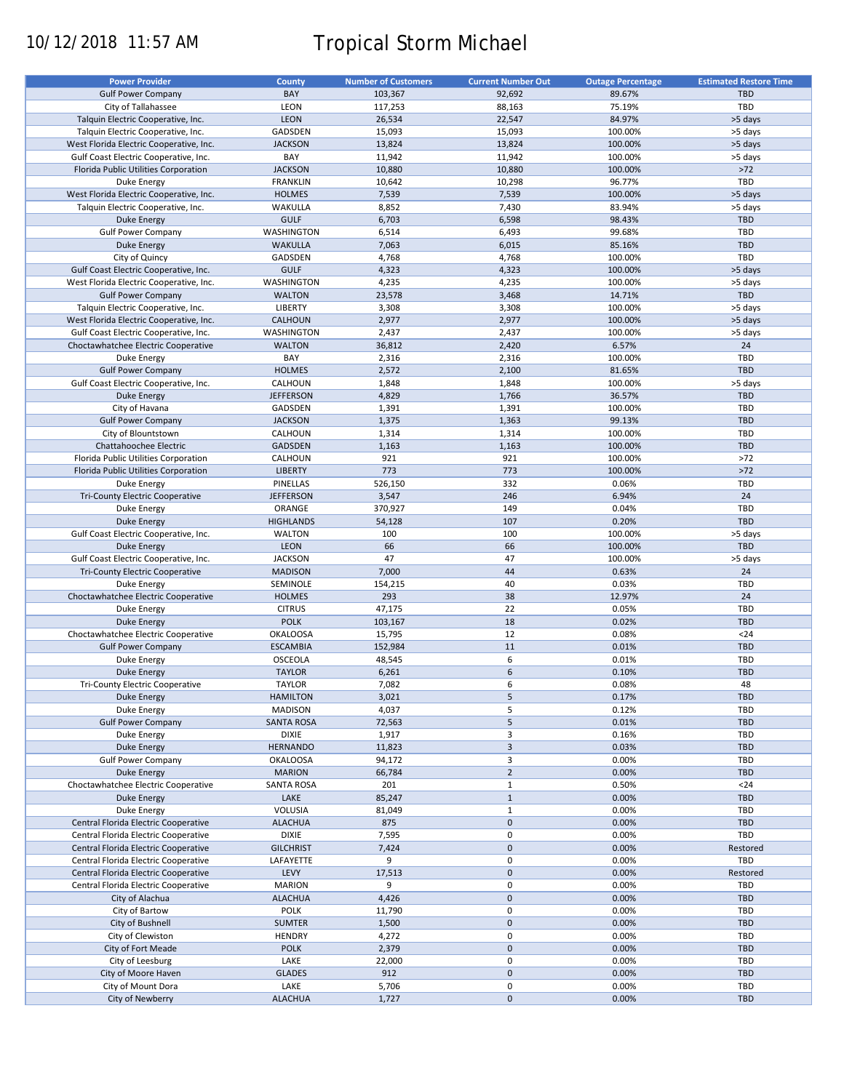# 10/12/2018 11:57 AM Tropical Storm Michael

| <b>Power Provider</b>                   | <b>County</b>     | <b>Number of Customers</b> | <b>Current Number Out</b> | <b>Outage Percentage</b> | <b>Estimated Restore Time</b> |
|-----------------------------------------|-------------------|----------------------------|---------------------------|--------------------------|-------------------------------|
| <b>Gulf Power Company</b>               | BAY               | 103,367                    | 92,692                    | 89.67%                   | <b>TBD</b>                    |
| City of Tallahassee                     | LEON              | 117,253                    | 88,163                    | 75.19%                   | TBD                           |
| Talquin Electric Cooperative, Inc.      | <b>LEON</b>       | 26,534                     | 22,547                    | 84.97%                   | >5 days                       |
| Talquin Electric Cooperative, Inc.      | GADSDEN           | 15,093                     | 15,093                    | 100.00%                  | >5 days                       |
| West Florida Electric Cooperative, Inc. | <b>JACKSON</b>    | 13,824                     | 13,824                    | 100.00%                  | >5 days                       |
|                                         | BAY               |                            |                           |                          |                               |
| Gulf Coast Electric Cooperative, Inc.   |                   | 11,942                     | 11,942                    | 100.00%                  | >5 days                       |
| Florida Public Utilities Corporation    | <b>JACKSON</b>    | 10,880                     | 10,880                    | 100.00%                  | $>72$                         |
| Duke Energy                             | <b>FRANKLIN</b>   | 10,642                     | 10,298                    | 96.77%                   | TBD                           |
| West Florida Electric Cooperative, Inc. | <b>HOLMES</b>     | 7,539                      | 7,539                     | 100.00%                  | >5 days                       |
| Talquin Electric Cooperative, Inc.      | WAKULLA           | 8,852                      | 7,430                     | 83.94%                   | >5 days                       |
| <b>Duke Energy</b>                      | <b>GULF</b>       | 6,703                      | 6,598                     | 98.43%                   | <b>TBD</b>                    |
| <b>Gulf Power Company</b>               | WASHINGTON        | 6,514                      | 6,493                     | 99.68%                   | TBD                           |
| <b>Duke Energy</b>                      | <b>WAKULLA</b>    | 7,063                      | 6,015                     | 85.16%                   | <b>TBD</b>                    |
| City of Quincy                          | GADSDEN           | 4,768                      | 4,768                     | 100.00%                  | TBD                           |
| Gulf Coast Electric Cooperative, Inc.   | <b>GULF</b>       | 4,323                      | 4,323                     | 100.00%                  | >5 days                       |
| West Florida Electric Cooperative, Inc. | WASHINGTON        | 4,235                      | 4,235                     | 100.00%                  | >5 days                       |
| <b>Gulf Power Company</b>               | <b>WALTON</b>     | 23,578                     | 3,468                     | 14.71%                   | <b>TBD</b>                    |
| Talquin Electric Cooperative, Inc.      | <b>LIBERTY</b>    | 3,308                      | 3,308                     | 100.00%                  | >5 days                       |
| West Florida Electric Cooperative, Inc. | <b>CALHOUN</b>    | 2,977                      | 2,977                     | 100.00%                  | >5 days                       |
| Gulf Coast Electric Cooperative, Inc.   | WASHINGTON        | 2,437                      | 2,437                     | 100.00%                  | >5 days                       |
| Choctawhatchee Electric Cooperative     | <b>WALTON</b>     | 36,812                     | 2,420                     | 6.57%                    | 24                            |
| <b>Duke Energy</b>                      | BAY               | 2,316                      | 2,316                     | 100.00%                  | TBD                           |
|                                         |                   |                            |                           |                          |                               |
| <b>Gulf Power Company</b>               | <b>HOLMES</b>     | 2,572                      | 2,100                     | 81.65%                   | <b>TBD</b>                    |
| Gulf Coast Electric Cooperative, Inc.   | CALHOUN           | 1,848                      | 1,848                     | 100.00%                  | >5 days                       |
| Duke Energy                             | <b>JEFFERSON</b>  | 4,829                      | 1,766                     | 36.57%                   | <b>TBD</b>                    |
| City of Havana                          | GADSDEN           | 1,391                      | 1,391                     | 100.00%                  | TBD                           |
| <b>Gulf Power Company</b>               | <b>JACKSON</b>    | 1,375                      | 1,363                     | 99.13%                   | <b>TBD</b>                    |
| City of Blountstown                     | CALHOUN           | 1,314                      | 1,314                     | 100.00%                  | TBD                           |
| Chattahoochee Electric                  | <b>GADSDEN</b>    | 1,163                      | 1,163                     | 100.00%                  | <b>TBD</b>                    |
| Florida Public Utilities Corporation    | CALHOUN           | 921                        | 921                       | 100.00%                  | $>72$                         |
| Florida Public Utilities Corporation    | <b>LIBERTY</b>    | 773                        | 773                       | 100.00%                  | $>72$                         |
| Duke Energy                             | PINELLAS          | 526,150                    | 332                       | 0.06%                    | TBD                           |
| <b>Tri-County Electric Cooperative</b>  | <b>JEFFERSON</b>  | 3,547                      | 246                       | 6.94%                    | 24                            |
| <b>Duke Energy</b>                      | ORANGE            | 370,927                    | 149                       | 0.04%                    | TBD                           |
| <b>Duke Energy</b>                      | <b>HIGHLANDS</b>  | 54,128                     | 107                       | 0.20%                    | <b>TBD</b>                    |
| Gulf Coast Electric Cooperative, Inc.   | <b>WALTON</b>     | 100                        | 100                       | 100.00%                  | >5 days                       |
| <b>Duke Energy</b>                      | <b>LEON</b>       | 66                         | 66                        | 100.00%                  | <b>TBD</b>                    |
|                                         |                   | 47                         | 47                        |                          |                               |
| Gulf Coast Electric Cooperative, Inc.   | <b>JACKSON</b>    |                            |                           | 100.00%                  | >5 days                       |
| Tri-County Electric Cooperative         | <b>MADISON</b>    | 7,000                      | 44                        | 0.63%                    | 24                            |
| Duke Energy                             | SEMINOLE          | 154,215                    | 40                        | 0.03%                    | TBD                           |
| Choctawhatchee Electric Cooperative     | <b>HOLMES</b>     | 293                        | 38                        | 12.97%                   | 24                            |
| Duke Energy                             | <b>CITRUS</b>     | 47,175                     | 22                        | 0.05%                    | TBD                           |
| <b>Duke Energy</b>                      | <b>POLK</b>       | 103,167                    | 18                        | 0.02%                    | <b>TBD</b>                    |
| Choctawhatchee Electric Cooperative     | <b>OKALOOSA</b>   | 15,795                     | 12                        | 0.08%                    | $24$                          |
| <b>Gulf Power Company</b>               | <b>ESCAMBIA</b>   | 152,984                    | 11                        | 0.01%                    | <b>TBD</b>                    |
| Duke Energy                             | OSCEOLA           | 48,545                     | 6                         | 0.01%                    | TBD                           |
| <b>Duke Energy</b>                      | <b>TAYLOR</b>     | 6,261                      | 6                         | 0.10%                    | <b>TBD</b>                    |
| <b>Tri-County Electric Cooperative</b>  | <b>TAYLOR</b>     | 7,082                      | 6                         | 0.08%                    | 48                            |
| <b>Duke Energy</b>                      | <b>HAMILTON</b>   | 3,021                      | 5                         | 0.17%                    | <b>TBD</b>                    |
| Duke Energy                             | <b>MADISON</b>    | 4,037                      | 5                         | 0.12%                    | TBD                           |
| <b>Gulf Power Company</b>               | <b>SANTA ROSA</b> | 72,563                     | 5                         | 0.01%                    | <b>TBD</b>                    |
| Duke Energy                             | <b>DIXIE</b>      | 1,917                      | 3                         | 0.16%                    | TBD                           |
| Duke Energy                             | <b>HERNANDO</b>   | 11,823                     | $\overline{\mathbf{3}}$   | 0.03%                    | <b>TBD</b>                    |
|                                         | <b>OKALOOSA</b>   |                            | 3                         |                          | TBD                           |
| <b>Gulf Power Company</b>               |                   | 94,172                     | $\overline{2}$            | 0.00%                    | <b>TBD</b>                    |
| <b>Duke Energy</b>                      | <b>MARION</b>     | 66,784                     |                           | 0.00%                    |                               |
| Choctawhatchee Electric Cooperative     | SANTA ROSA        | 201                        | $\mathbf{1}$              | 0.50%                    | $24$                          |
| Duke Energy                             | LAKE              | 85,247                     | $\mathbf{1}$              | 0.00%                    | <b>TBD</b>                    |
| Duke Energy                             | VOLUSIA           | 81,049                     | $\mathbf{1}$              | 0.00%                    | TBD                           |
| Central Florida Electric Cooperative    | <b>ALACHUA</b>    | 875                        | $\mathbf 0$               | 0.00%                    | <b>TBD</b>                    |
| Central Florida Electric Cooperative    | <b>DIXIE</b>      | 7,595                      | 0                         | 0.00%                    | TBD                           |
| Central Florida Electric Cooperative    | <b>GILCHRIST</b>  | 7,424                      | $\mathbf 0$               | 0.00%                    | Restored                      |
| Central Florida Electric Cooperative    | LAFAYETTE         | 9                          | 0                         | 0.00%                    | TBD                           |
| Central Florida Electric Cooperative    | LEVY              | 17,513                     | $\pmb{0}$                 | 0.00%                    | Restored                      |
| Central Florida Electric Cooperative    | <b>MARION</b>     | 9                          | 0                         | 0.00%                    | TBD                           |
| City of Alachua                         | <b>ALACHUA</b>    | 4,426                      | $\pmb{0}$                 | 0.00%                    | <b>TBD</b>                    |
| City of Bartow                          | <b>POLK</b>       | 11,790                     | $\pmb{0}$                 | 0.00%                    | TBD                           |
| City of Bushnell                        | <b>SUMTER</b>     | 1,500                      | $\pmb{0}$                 | 0.00%                    | <b>TBD</b>                    |
|                                         | <b>HENDRY</b>     |                            | $\mathbf 0$               | 0.00%                    | TBD                           |
| City of Clewiston                       |                   | 4,272                      |                           |                          |                               |
| City of Fort Meade                      | <b>POLK</b>       | 2,379                      | $\pmb{0}$                 | 0.00%                    | <b>TBD</b>                    |
| City of Leesburg                        | LAKE              | 22,000                     | $\mathbf 0$               | 0.00%                    | TBD                           |
| City of Moore Haven                     | <b>GLADES</b>     | 912                        | $\pmb{0}$                 | 0.00%                    | <b>TBD</b>                    |
| City of Mount Dora                      | LAKE              | 5,706                      | 0                         | 0.00%                    | TBD                           |
| City of Newberry                        | <b>ALACHUA</b>    | 1,727                      | $\mathbf 0$               | 0.00%                    | TBD                           |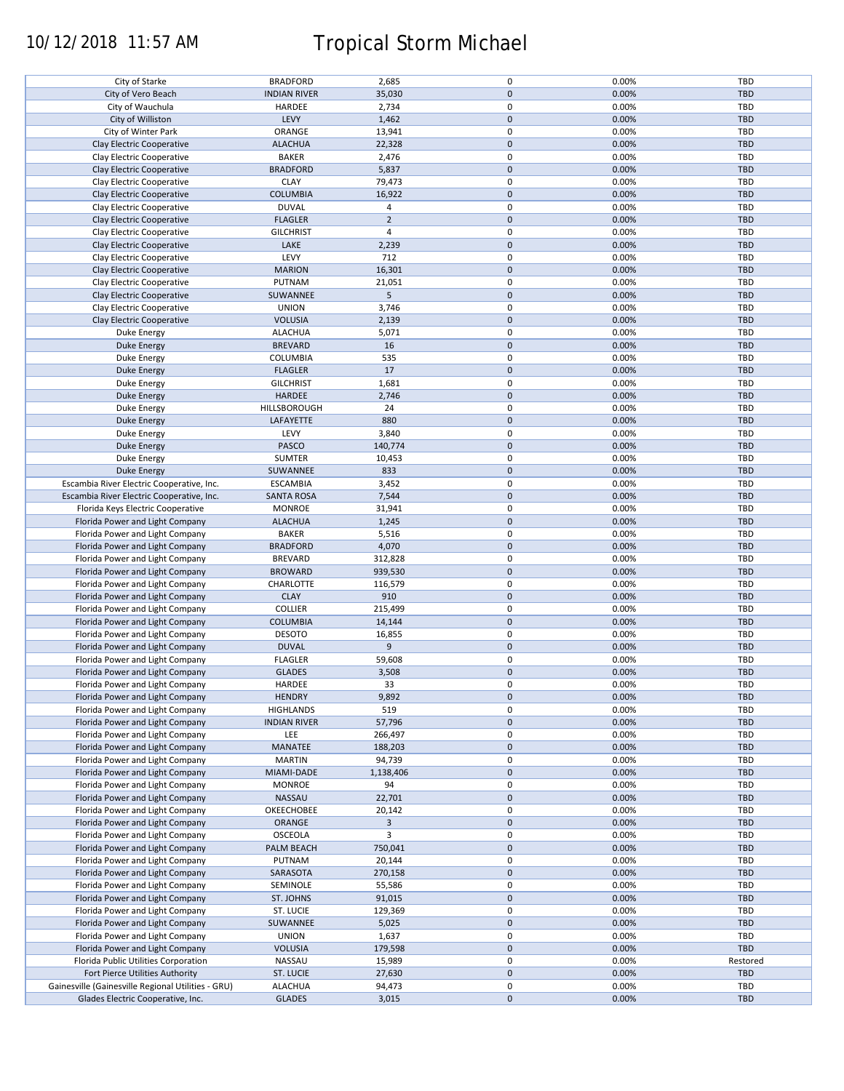# 10/12/2018 11:57 AM Tropical Storm Michael

| City of Starke                                     | <b>BRADFORD</b>     | 2,685          | $\pmb{0}$   | 0.00% | <b>TBD</b> |
|----------------------------------------------------|---------------------|----------------|-------------|-------|------------|
| City of Vero Beach                                 | <b>INDIAN RIVER</b> | 35,030         | $\pmb{0}$   | 0.00% | <b>TBD</b> |
| City of Wauchula                                   | HARDEE              | 2,734          | $\pmb{0}$   | 0.00% | TBD        |
| City of Williston                                  | LEVY                | 1,462          | $\pmb{0}$   | 0.00% | <b>TBD</b> |
|                                                    |                     |                |             |       |            |
| City of Winter Park                                | ORANGE              | 13,941         | $\pmb{0}$   | 0.00% | TBD        |
| Clay Electric Cooperative                          | <b>ALACHUA</b>      | 22,328         | $\mathbf 0$ | 0.00% | <b>TBD</b> |
| Clay Electric Cooperative                          | <b>BAKER</b>        | 2,476          | $\pmb{0}$   | 0.00% | TBD        |
| Clay Electric Cooperative                          | <b>BRADFORD</b>     | 5,837          | $\pmb{0}$   | 0.00% | <b>TBD</b> |
| Clay Electric Cooperative                          | <b>CLAY</b>         | 79,473         | $\pmb{0}$   | 0.00% | TBD        |
|                                                    |                     |                |             |       |            |
| Clay Electric Cooperative                          | <b>COLUMBIA</b>     | 16,922         | $\mathbf 0$ | 0.00% | <b>TBD</b> |
| Clay Electric Cooperative                          | <b>DUVAL</b>        | 4              | $\pmb{0}$   | 0.00% | TBD        |
| Clay Electric Cooperative                          | <b>FLAGLER</b>      | $\overline{2}$ | $\pmb{0}$   | 0.00% | <b>TBD</b> |
| Clay Electric Cooperative                          | <b>GILCHRIST</b>    | $\overline{4}$ | $\pmb{0}$   | 0.00% | TBD        |
|                                                    |                     |                |             |       |            |
| Clay Electric Cooperative                          | LAKE                | 2,239          | $\pmb{0}$   | 0.00% | <b>TBD</b> |
| Clay Electric Cooperative                          | LEVY                | 712            | $\pmb{0}$   | 0.00% | <b>TBD</b> |
| Clay Electric Cooperative                          | <b>MARION</b>       | 16,301         | $\pmb{0}$   | 0.00% | <b>TBD</b> |
| Clay Electric Cooperative                          | PUTNAM              | 21,051         | $\pmb{0}$   | 0.00% | TBD        |
|                                                    |                     |                |             |       |            |
| Clay Electric Cooperative                          | SUWANNEE            | 5              | $\pmb{0}$   | 0.00% | <b>TBD</b> |
| Clay Electric Cooperative                          | <b>UNION</b>        | 3,746          | $\pmb{0}$   | 0.00% | <b>TBD</b> |
| Clay Electric Cooperative                          | <b>VOLUSIA</b>      | 2,139          | $\pmb{0}$   | 0.00% | <b>TBD</b> |
|                                                    | <b>ALACHUA</b>      | 5,071          | $\pmb{0}$   | 0.00% | TBD        |
| Duke Energy                                        |                     |                |             |       |            |
| <b>Duke Energy</b>                                 | <b>BREVARD</b>      | 16             | $\pmb{0}$   | 0.00% | <b>TBD</b> |
| Duke Energy                                        | COLUMBIA            | 535            | $\pmb{0}$   | 0.00% | TBD        |
| <b>Duke Energy</b>                                 | <b>FLAGLER</b>      | 17             | $\pmb{0}$   | 0.00% | TBD        |
| Duke Energy                                        | <b>GILCHRIST</b>    | 1,681          | $\pmb{0}$   | 0.00% | <b>TBD</b> |
|                                                    |                     |                |             |       |            |
| Duke Energy                                        | HARDEE              | 2,746          | $\pmb{0}$   | 0.00% | TBD        |
| Duke Energy                                        | HILLSBOROUGH        | 24             | $\pmb{0}$   | 0.00% | <b>TBD</b> |
| Duke Energy                                        | LAFAYETTE           | 880            | $\pmb{0}$   | 0.00% | <b>TBD</b> |
| Duke Energy                                        | LEVY                | 3,840          | $\pmb{0}$   | 0.00% | <b>TBD</b> |
|                                                    |                     |                |             |       |            |
| <b>Duke Energy</b>                                 | PASCO               | 140,774        | $\pmb{0}$   | 0.00% | <b>TBD</b> |
| Duke Energy                                        | SUMTER              | 10,453         | $\pmb{0}$   | 0.00% | TBD        |
| Duke Energy                                        | SUWANNEE            | 833            | $\pmb{0}$   | 0.00% | <b>TBD</b> |
| Escambia River Electric Cooperative, Inc.          | <b>ESCAMBIA</b>     | 3,452          | $\pmb{0}$   | 0.00% | TBD        |
|                                                    |                     |                |             |       |            |
| Escambia River Electric Cooperative, Inc.          | <b>SANTA ROSA</b>   | 7,544          | $\mathbf 0$ | 0.00% | <b>TBD</b> |
| Florida Keys Electric Cooperative                  | <b>MONROE</b>       | 31,941         | 0           | 0.00% | TBD        |
| Florida Power and Light Company                    | <b>ALACHUA</b>      | 1,245          | $\pmb{0}$   | 0.00% | <b>TBD</b> |
| Florida Power and Light Company                    | <b>BAKER</b>        | 5,516          | $\pmb{0}$   | 0.00% | TBD        |
| Florida Power and Light Company                    | <b>BRADFORD</b>     | 4,070          | $\pmb{0}$   | 0.00% | <b>TBD</b> |
|                                                    |                     |                |             |       |            |
| Florida Power and Light Company                    | <b>BREVARD</b>      | 312,828        | $\pmb{0}$   | 0.00% | TBD        |
| Florida Power and Light Company                    | <b>BROWARD</b>      | 939,530        | $\pmb{0}$   | 0.00% | <b>TBD</b> |
| Florida Power and Light Company                    | CHARLOTTE           | 116,579        | $\pmb{0}$   | 0.00% | TBD        |
| Florida Power and Light Company                    | <b>CLAY</b>         | 910            | $\pmb{0}$   | 0.00% | <b>TBD</b> |
|                                                    |                     |                |             |       |            |
| Florida Power and Light Company                    | <b>COLLIER</b>      | 215,499        | $\pmb{0}$   | 0.00% | TBD        |
| Florida Power and Light Company                    | <b>COLUMBIA</b>     | 14,144         | $\pmb{0}$   | 0.00% | <b>TBD</b> |
| Florida Power and Light Company                    | <b>DESOTO</b>       | 16,855         | $\pmb{0}$   | 0.00% | TBD        |
| Florida Power and Light Company                    | <b>DUVAL</b>        | 9              | $\pmb{0}$   | 0.00% | <b>TBD</b> |
|                                                    |                     |                |             |       |            |
| Florida Power and Light Company                    | <b>FLAGLER</b>      | 59,608         | $\pmb{0}$   | 0.00% | TBD        |
| Florida Power and Light Company                    | <b>GLADES</b>       | 3,508          | $\pmb{0}$   | 0.00% | <b>TBD</b> |
| Florida Power and Light Company                    | HARDEE              | 33             | $\mathbf 0$ | 0.00% | TBD        |
| Florida Power and Light Company                    | <b>HENDRY</b>       | 9,892          | $\pmb{0}$   | 0.00% | <b>TBD</b> |
|                                                    |                     |                |             |       |            |
| Florida Power and Light Company                    | <b>HIGHLANDS</b>    | 519            | $\pmb{0}$   | 0.00% | TBD        |
| Florida Power and Light Company                    | <b>INDIAN RIVER</b> | 57,796         | $\pmb{0}$   | 0.00% | <b>TBD</b> |
| Florida Power and Light Company                    | LEE                 | 266,497        | $\pmb{0}$   | 0.00% | TBD        |
| Florida Power and Light Company                    | MANATEE             | 188,203        | $\pmb{0}$   | 0.00% | TBD        |
|                                                    |                     |                | $\pmb{0}$   |       |            |
| Florida Power and Light Company                    | <b>MARTIN</b>       | 94,739         |             | 0.00% | TBD        |
| Florida Power and Light Company                    | MIAMI-DADE          | 1,138,406      | $\pmb{0}$   | 0.00% | <b>TBD</b> |
| Florida Power and Light Company                    | <b>MONROE</b>       | 94             | $\pmb{0}$   | 0.00% | TBD        |
| Florida Power and Light Company                    | NASSAU              | 22,701         | $\mathbf 0$ | 0.00% | <b>TBD</b> |
|                                                    | OKEECHOBEE          | 20,142         | $\pmb{0}$   | 0.00% |            |
| Florida Power and Light Company                    |                     |                |             |       | TBD        |
| Florida Power and Light Company                    | <b>ORANGE</b>       | 3              | $\pmb{0}$   | 0.00% | <b>TBD</b> |
| Florida Power and Light Company                    | OSCEOLA             | 3              | 0           | 0.00% | TBD        |
| Florida Power and Light Company                    | PALM BEACH          | 750,041        | $\pmb{0}$   | 0.00% | <b>TBD</b> |
| Florida Power and Light Company                    | PUTNAM              |                | $\pmb{0}$   |       | TBD        |
|                                                    |                     | 20,144         |             | 0.00% |            |
| Florida Power and Light Company                    | SARASOTA            | 270,158        | $\pmb{0}$   | 0.00% | <b>TBD</b> |
| Florida Power and Light Company                    | SEMINOLE            | 55,586         | $\pmb{0}$   | 0.00% | TBD        |
| Florida Power and Light Company                    | ST. JOHNS           | 91,015         | $\pmb{0}$   | 0.00% | <b>TBD</b> |
|                                                    |                     |                | $\pmb{0}$   | 0.00% | TBD        |
| Florida Power and Light Company                    | ST. LUCIE           | 129,369        |             |       |            |
| Florida Power and Light Company                    | SUWANNEE            | 5,025          | $\pmb{0}$   | 0.00% | TBD        |
| Florida Power and Light Company                    | <b>UNION</b>        | 1,637          | $\pmb{0}$   | 0.00% | TBD        |
| Florida Power and Light Company                    | <b>VOLUSIA</b>      | 179,598        | $\pmb{0}$   | 0.00% | <b>TBD</b> |
|                                                    | NASSAU              | 15,989         | $\pmb{0}$   | 0.00% | Restored   |
| Florida Public Utilities Corporation               |                     |                |             |       |            |
| Fort Pierce Utilities Authority                    | ST. LUCIE           | 27,630         | $\pmb{0}$   | 0.00% | TBD        |
| Gainesville (Gainesville Regional Utilities - GRU) | <b>ALACHUA</b>      | 94,473         | 0           | 0.00% | <b>TBD</b> |
| Glades Electric Cooperative, Inc.                  | <b>GLADES</b>       | 3,015          | $\pmb{0}$   | 0.00% | TBD        |
|                                                    |                     |                |             |       |            |